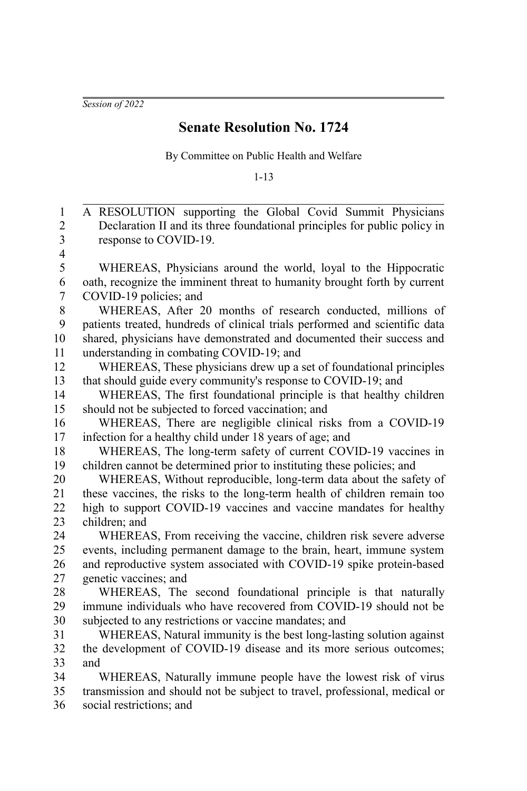*Session of 2022*

## **Senate Resolution No. 1724**

By Committee on Public Health and Welfare

1-13

A RESOLUTION supporting the Global Covid Summit Physicians Declaration II and its three foundational principles for public policy in response to COVID-19. WHEREAS, Physicians around the world, loyal to the Hippocratic oath, recognize the imminent threat to humanity brought forth by current COVID-19 policies; and WHEREAS, After 20 months of research conducted, millions of patients treated, hundreds of clinical trials performed and scientific data shared, physicians have demonstrated and documented their success and understanding in combating COVID-19; and WHEREAS, These physicians drew up a set of foundational principles that should guide every community's response to COVID-19; and WHEREAS, The first foundational principle is that healthy children should not be subjected to forced vaccination; and WHEREAS, There are negligible clinical risks from a COVID-19 infection for a healthy child under 18 years of age; and WHEREAS, The long-term safety of current COVID-19 vaccines in children cannot be determined prior to instituting these policies; and WHEREAS, Without reproducible, long-term data about the safety of these vaccines, the risks to the long-term health of children remain too high to support COVID-19 vaccines and vaccine mandates for healthy children; and WHEREAS, From receiving the vaccine, children risk severe adverse events, including permanent damage to the brain, heart, immune system and reproductive system associated with COVID-19 spike protein-based genetic vaccines; and WHEREAS, The second foundational principle is that naturally immune individuals who have recovered from COVID-19 should not be subjected to any restrictions or vaccine mandates; and WHEREAS, Natural immunity is the best long-lasting solution against the development of COVID-19 disease and its more serious outcomes; and WHEREAS, Naturally immune people have the lowest risk of virus transmission and should not be subject to travel, professional, medical or social restrictions; and 1 2 3 4 5 6 7 8 9 10 11 12 13 14 15 16 17 18 19 20 21 22 23  $24$ 25 26 27 28 29 30 31 32 33 34 35 36